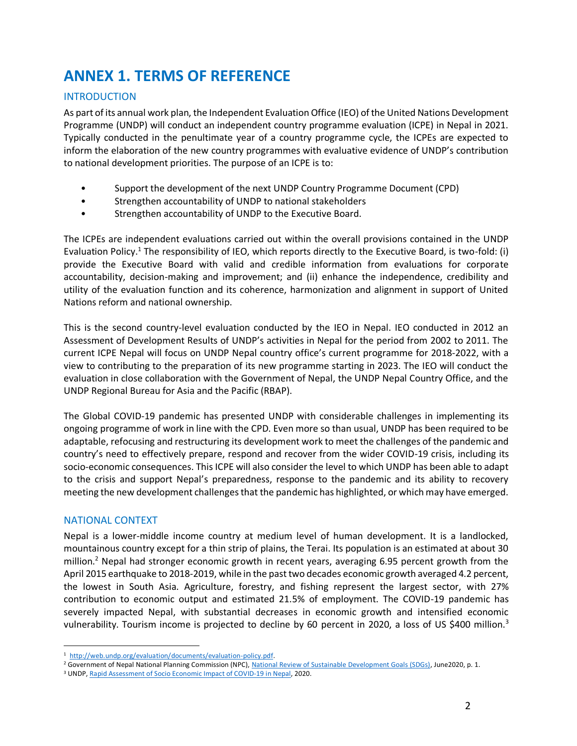# **ANNEX 1. TERMS OF REFERENCE**

## INTRODUCTION

As part of its annual work plan, the Independent Evaluation Office (IEO) of the United Nations Development Programme (UNDP) will conduct an independent country programme evaluation (ICPE) in Nepal in 2021. Typically conducted in the penultimate year of a country programme cycle, the ICPEs are expected to inform the elaboration of the new country programmes with evaluative evidence of UNDP's contribution to national development priorities. The purpose of an ICPE is to:

- Support the development of the next UNDP Country Programme Document (CPD)
- Strengthen accountability of UNDP to national stakeholders
- Strengthen accountability of UNDP to the Executive Board.

The ICPEs are independent evaluations carried out within the overall provisions contained in the UNDP Evaluation Policy.<sup>1</sup> The responsibility of IEO, which reports directly to the Executive Board, is two-fold: (i) provide the Executive Board with valid and credible information from evaluations for corporate accountability, decision-making and improvement; and (ii) enhance the independence, credibility and utility of the evaluation function and its coherence, harmonization and alignment in support of United Nations reform and national ownership.

This is the second country-level evaluation conducted by the IEO in Nepal. IEO conducted in 2012 an Assessment of Development Results of UNDP's activities in Nepal for the period from 2002 to 2011. The current ICPE Nepal will focus on UNDP Nepal country office's current programme for 2018-2022, with a view to contributing to the preparation of its new programme starting in 2023. The IEO will conduct the evaluation in close collaboration with the Government of Nepal, the UNDP Nepal Country Office, and the UNDP Regional Bureau for Asia and the Pacific (RBAP).

The Global COVID-19 pandemic has presented UNDP with considerable challenges in implementing its ongoing programme of work in line with the CPD. Even more so than usual, UNDP has been required to be adaptable, refocusing and restructuring its development work to meet the challenges of the pandemic and country's need to effectively prepare, respond and recover from the wider COVID-19 crisis, including its socio-economic consequences. This ICPE will also consider the level to which UNDP has been able to adapt to the crisis and support Nepal's preparedness, response to the pandemic and its ability to recovery meeting the new development challenges that the pandemic has highlighted, or which may have emerged.

# NATIONAL CONTEXT

Nepal is a lower-middle income country at medium level of human development. It is a landlocked, mountainous country except for a thin strip of plains, the Terai. Its population is an estimated at about 30 million.<sup>2</sup> Nepal had stronger economic growth in recent years, averaging 6.95 percent growth from the April 2015 earthquake to 2018-2019, while in the past two decades economic growth averaged 4.2 percent, the lowest in South Asia. Agriculture, forestry, and fishing represent the largest sector, with 27% contribution to economic output and estimated 21.5% of employment. The COVID-19 pandemic has severely impacted Nepal, with substantial decreases in economic growth and intensified economic vulnerability. Tourism income is projected to decline by 60 percent in 2020, a loss of US \$400 million.<sup>3</sup>

<sup>&</sup>lt;sup>1</sup> [http://web.undp.org/evaluation/documents/evaluation-policy.pdf.](http://web.undp.org/evaluation/documents/evaluation-policy.pdf)

<sup>&</sup>lt;sup>2</sup> Government of Nepal National Planning Commission (NPC)[, National Review of Sustainable Development Goals \(SDGs\), J](https://sustainabledevelopment.un.org/content/documents/26541VNR_2020_Nepal_Report.pdf)une2020, p. 1.

<sup>&</sup>lt;sup>3</sup> UNDP, Rapid [Assessment](https://www.np.undp.org/content/nepal/en/home/library/rapid-assessment-of-socio-economic-impact.html) of Socio Economic Impact of COVID-19 in Nepal, 2020.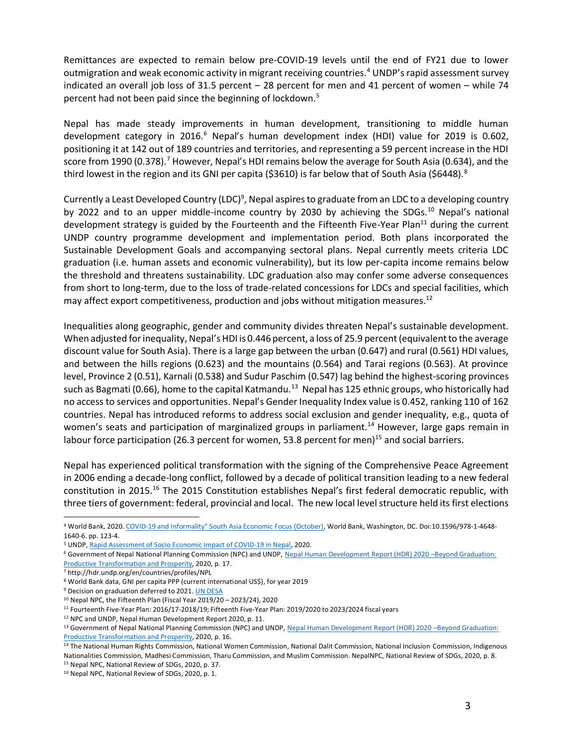Remittances are expected to remain below pre-COVID-19 levels until the end of FY21 due to lower outmigration and weak economic activity in migrant receiving countries.<sup>4</sup> UNDP's rapid assessment survey indicated an overall job loss of 31.5 percent – 28 percent for men and 41 percent of women – while 74 percent had not been paid since the beginning of lockdown.<sup>5</sup>

Nepal has made steady improvements in human development, transitioning to middle human development category in 2016.<sup>6</sup> Nepal's human development index (HDI) value for 2019 is 0.602, positioning it at 142 out of 189 countries and territories, and representing a 59 percent increase in the HDI score from 1990 (0.378).<sup>7</sup> However, Nepal's HDI remains below the average for South Asia (0.634), and the third lowest in the region and its GNI per capita (\$3610) is far below that of South Asia (\$6448).<sup>8</sup>

Currently a Least Developed Country (LDC)<sup>9</sup>, Nepal aspires to graduate from an LDC to a developing country by 2022 and to an upper middle-income country by 2030 by achieving the SDGs.<sup>10</sup> Nepal's national development strategy is guided by the Fourteenth and the Fifteenth Five-Year Plan<sup>11</sup> during the current UNDP country programme development and implementation period. Both plans incorporated the Sustainable Development Goals and accompanying sectoral plans. Nepal currently meets criteria LDC graduation (i.e. human assets and economic vulnerability), but its low per-capita income remains below the threshold and threatens sustainability. LDC graduation also may confer some adverse consequences from short to long-term, due to the loss of trade-related concessions for LDCs and special facilities, which may affect export competitiveness, production and jobs without mitigation measures.<sup>12</sup>

Inequalities along geographic, gender and community divides threaten Nepal's sustainable development. When adjusted for inequality, Nepal's HDI is 0.446 percent, a loss of 25.9 percent (equivalent to the average discount value for South Asia). There is a large gap between the urban (0.647) and rural (0.561) HDI values, and between the hills regions (0.623) and the mountains (0.564) and Tarai regions (0.563). At province level, Province 2 (0.51), Karnali (0.538) and Sudur Paschim (0.547) lag behind the highest-scoring provinces such as Bagmati (0.66), home to the capital Katmandu.<sup>13</sup> Nepal has 125 ethnic groups, who historically had no access to services and opportunities. Nepal's Gender Inequality Index value is 0.452, ranking 110 of 162 countries. Nepal has introduced reforms to address social exclusion and gender inequality, e.g., quota of women's seats and participation of marginalized groups in parliament.<sup>14</sup> However, large gaps remain in labour force participation (26.3 percent for women, 53.8 percent for men)<sup>15</sup> and social barriers.

Nepal has experienced political transformation with the signing of the Comprehensive Peace Agreement in 2006 ending a decade-long conflict, followed by a decade of political transition leading to a new federal constitution in 2015.<sup>16</sup> The 2015 Constitution establishes Nepal's first federal democratic republic, with three tiers of government: federal, provincial and local. The new local levelstructure held its first elections

<sup>4</sup> World Bank, 2020. COVID-[19 and Informality" South Asia Economic Focus \(October\)](https://openknowledge.worldbank.org/bitstream/handle/10986/34517/9781464816406.pdf), World Bank, Washington, DC. Doi:10.1596/978-1-4648-1640-6. pp. 123-4.

<sup>&</sup>lt;sup>5</sup> UNDP, Rapid [Assessment](https://www.np.undp.org/content/nepal/en/home/library/rapid-assessment-of-socio-economic-impact.html) of Socio Economic Impact of COVID-19 in Nepal, 2020.

<sup>6</sup> Government of Nepal National Planning Commission (NPC) and UNDP[, Nepal Human Development Report \(HDR\) 2020](https://www.np.undp.org/content/nepal/en/home/library/human_development/human-development-report-2020.html) –Beyond [Graduation:](https://www.np.undp.org/content/nepal/en/home/library/human_development/human-development-report-2020.html)  Productive [Transformation](https://www.np.undp.org/content/nepal/en/home/library/human_development/human-development-report-2020.html) and Prosperity, 2020, p. 17.

<sup>7</sup> <http://hdr.undp.org/en/countries/profiles/NPL>

<sup>8</sup> World Bank data, GNI per capita PPP (current international US\$), for year 2019

<sup>&</sup>lt;sup>9</sup> Decision on graduation deferred to 2021. UN [DESA](https://www.un.org/development/desa/dpad/least-developed-country-category-nepal.html)

<sup>10</sup> Nepal NPC, the Fifteenth Plan (Fiscal Year 2019/20 – 2023/24), 2020

<sup>11</sup> Fourteenth Five-Year Plan: 2016/17-2018/19; Fifteenth Five-Year Plan: 2019/2020 to 2023/2024 fiscal years

<sup>12</sup> NPC and UNDP, Nepal Human Development Report 2020, p. 11.

<sup>13</sup> Government of Nepal National Planning Commission (NPC) and UNDP, [Nepal Human Development Report \(HDR\) 2020](https://www.np.undp.org/content/nepal/en/home/library/human_development/human-development-report-2020.html) -Beyond Graduation: Productive [Transformation](https://www.np.undp.org/content/nepal/en/home/library/human_development/human-development-report-2020.html) and Prosperity, 2020, p. 16.

<sup>&</sup>lt;sup>14</sup> The National Human Rights Commission, National Women Commission, National Dalit Commission, National Inclusion Commission, Indigenous Nationalities Commission, Madhesi Commission, Tharu Commission, and Muslim Commission. NepalNPC, National Review of SDGs, 2020, p. 8.

<sup>15</sup> Nepal NPC, National Review of SDGs, 2020, p. 37.

<sup>16</sup> Nepal NPC, National Review of SDGs, 2020, p. 1.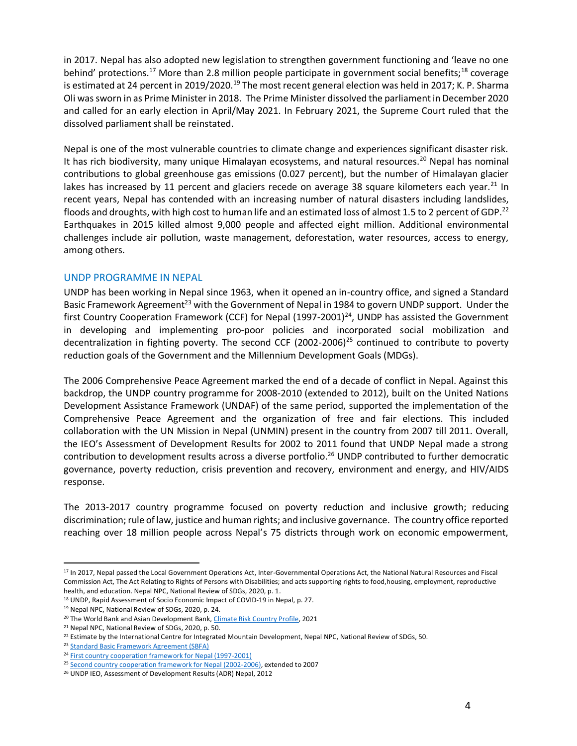in 2017. Nepal has also adopted new legislation to strengthen government functioning and 'leave no one behind' protections.<sup>17</sup> More than 2.8 million people participate in government social benefits;<sup>18</sup> coverage is estimated at 24 percent in 2019/2020.<sup>19</sup> The most recent general election was held in 2017; K. P. Sharma Oli wassworn in as Prime Minister in 2018. The Prime Minister dissolved the parliament in December 2020 and called for an early election in April/May 2021. In February 2021, the Supreme Court ruled that the dissolved parliament shall be reinstated.

Nepal is one of the most vulnerable countries to climate change and experiences significant disaster risk. It has rich biodiversity, many unique Himalayan ecosystems, and natural resources.<sup>20</sup> Nepal has nominal contributions to global greenhouse gas emissions (0.027 percent), but the number of Himalayan glacier lakes has increased by 11 percent and glaciers recede on average 38 square kilometers each year.<sup>21</sup> In recent years, Nepal has contended with an increasing number of natural disasters including landslides, floods and droughts, with high cost to human life and an estimated loss of almost 1.5 to 2 percent of GDP.<sup>22</sup> Earthquakes in 2015 killed almost 9,000 people and affected eight million. Additional environmental challenges include air pollution, waste management, deforestation, water resources, access to energy, among others.

#### UNDP PROGRAMME IN NEPAL

UNDP has been working in Nepal since 1963, when it opened an in-country office, and signed a Standard Basic Framework Agreement<sup>23</sup> with the Government of Nepal in 1984 to govern UNDP support. Under the first Country Cooperation Framework (CCF) for Nepal (1997-2001)<sup>24</sup>, UNDP has assisted the Government in developing and implementing pro-poor policies and incorporated social mobilization and decentralization in fighting poverty. The second CCF (2002-2006)<sup>25</sup> continued to contribute to poverty reduction goals of the Government and the Millennium Development Goals (MDGs).

The 2006 Comprehensive Peace Agreement marked the end of a decade of conflict in Nepal. Against this backdrop, the UNDP country programme for 2008-2010 (extended to 2012), built on the United Nations Development Assistance Framework (UNDAF) of the same period, supported the implementation of the Comprehensive Peace Agreement and the organization of free and fair elections. This included collaboration with the UN Mission in Nepal (UNMIN) present in the country from 2007 till 2011. Overall, the IEO's Assessment of Development Results for 2002 to 2011 found that UNDP Nepal made a strong contribution to development results across a diverse portfolio.<sup>26</sup> UNDP contributed to further democratic governance, poverty reduction, crisis prevention and recovery, environment and energy, and HIV/AIDS response.

The 2013-2017 country programme focused on poverty reduction and inclusive growth; reducing discrimination; rule of law, justice and human rights; and inclusive governance. The country office reported reaching over 18 million people across Nepal's 75 districts through work on economic empowerment,

<sup>&</sup>lt;sup>17</sup> In 2017, Nepal passed the Local Government Operations Act, Inter-Governmental Operations Act, the National Natural Resources and Fiscal Commission Act, The Act Relating to Rights of Persons with Disabilities; and acts supporting rights to food,housing, employment, reproductive health, and education. Nepal NPC, National Review of SDGs, 2020, p. 1.

<sup>18</sup> UNDP, Rapid Assessment of Socio Economic Impact of COVID-19 in Nepal, p. 27.

<sup>19</sup> Nepal NPC, National Review of SDGs, 2020, p. 24.

<sup>&</sup>lt;sup>20</sup> The World Bank and Asian Development Bank, Climate Risk [Country](https://www.adb.org/sites/default/files/publication/677231/climate-risk-country-profile-nepal.pdf) Profile, 2021

<sup>21</sup> Nepal NPC, National Review of SDGs, 2020, p. 50.

 $^{22}$  Estimate by the International Centre for Integrated Mountain Development, Nepal NPC, National Review of SDGs, 50.

<sup>23</sup> Standard Basic [Framework](https://www.np.undp.org/content/dam/nepal/docs/legalframework/UNDP_NP_Standard%20Basic%20Framework%20Agreement.pdf) Agreement (SBFA)

<sup>&</sup>lt;sup>24</sup> First country cooperation framework for Nepal [\(1997-2001\)](https://digitallibrary.un.org/record/241582/files/DP_CCF_NEP_1-EN.pdf)

<sup>&</sup>lt;sup>25</sup> Second country cooperation framework for Nepal [\(2002-2006\),](https://digitallibrary.un.org/record/448022/files/DP_CCF_NEP_2-EN.pdf) extended to 2007

<sup>&</sup>lt;sup>26</sup> UNDP IEO, Assessment of Development Results (ADR) Nepal, 2012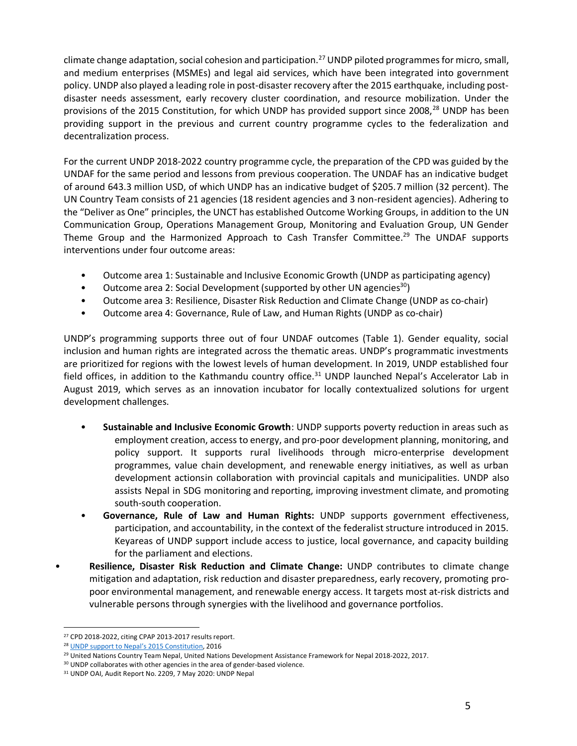climate change adaptation, social cohesion and participation.<sup>27</sup> UNDP piloted programmes for micro, small, and medium enterprises (MSMEs) and legal aid services, which have been integrated into government policy. UNDP also played a leading role in post-disaster recovery after the 2015 earthquake, including postdisaster needs assessment, early recovery cluster coordination, and resource mobilization. Under the provisions of the 2015 Constitution, for which UNDP has provided support since 2008,<sup>28</sup> UNDP has been providing support in the previous and current country programme cycles to the federalization and decentralization process.

For the current UNDP 2018-2022 country programme cycle, the preparation of the CPD was guided by the UNDAF for the same period and lessons from previous cooperation. The UNDAF has an indicative budget of around 643.3 million USD, of which UNDP has an indicative budget of \$205.7 million (32 percent). The UN Country Team consists of 21 agencies (18 resident agencies and 3 non-resident agencies). Adhering to the "Deliver as One" principles, the UNCT has established Outcome Working Groups, in addition to the UN Communication Group, Operations Management Group, Monitoring and Evaluation Group, UN Gender Theme Group and the Harmonized Approach to Cash Transfer Committee.<sup>29</sup> The UNDAF supports interventions under four outcome areas:

- Outcome area 1: Sustainable and Inclusive Economic Growth (UNDP as participating agency)
- Outcome area 2: Social Development (supported by other UN agencies $^{30}$ )
- Outcome area 3: Resilience, Disaster Risk Reduction and Climate Change (UNDP as co-chair)
- Outcome area 4: Governance, Rule of Law, and Human Rights (UNDP as co-chair)

UNDP's programming supports three out of four UNDAF outcomes (Table 1). Gender equality, social inclusion and human rights are integrated across the thematic areas. UNDP's programmatic investments are prioritized for regions with the lowest levels of human development. In 2019, UNDP established four field offices, in addition to the Kathmandu country office.<sup>31</sup> UNDP launched Nepal's Accelerator Lab in August 2019, which serves as an innovation incubator for locally contextualized solutions for urgent development challenges.

- **Sustainable and Inclusive Economic Growth**: UNDP supports poverty reduction in areas such as employment creation, access to energy, and pro-poor development planning, monitoring, and policy support. It supports rural livelihoods through micro-enterprise development programmes, value chain development, and renewable energy initiatives, as well as urban development actionsin collaboration with provincial capitals and municipalities. UNDP also assists Nepal in SDG monitoring and reporting, improving investment climate, and promoting south-south cooperation.
- **Governance, Rule of Law and Human Rights:** UNDP supports government effectiveness, participation, and accountability, in the context of the federalist structure introduced in 2015. Keyareas of UNDP support include access to justice, local governance, and capacity building for the parliament and elections.
- **Resilience, Disaster Risk Reduction and Climate Change:** UNDP contributes to climate change mitigation and adaptation, risk reduction and disaster preparedness, early recovery, promoting propoor environmental management, and renewable energy access. It targets most at-risk districts and vulnerable persons through synergies with the livelihood and governance portfolios.

<sup>&</sup>lt;sup>27</sup> CPD 2018-2022, citing CPAP 2013-2017 results report.

<sup>&</sup>lt;sup>28</sup> UNDP support to Nepal's 2015 [Constitution,](https://www.np.undp.org/content/nepal/en/home/library/democratic_governance/undp-support-to-nepals-2015-constitution.html) 2016

<sup>&</sup>lt;sup>29</sup> United Nations Country Team Nepal, United Nations Development Assistance Framework for Nepal 2018-2022, 2017.

<sup>&</sup>lt;sup>30</sup> UNDP collaborates with other agencies in the area of gender-based violence.

<sup>31</sup> UNDP OAI, Audit Report No. 2209, 7 May 2020: UNDP Nepal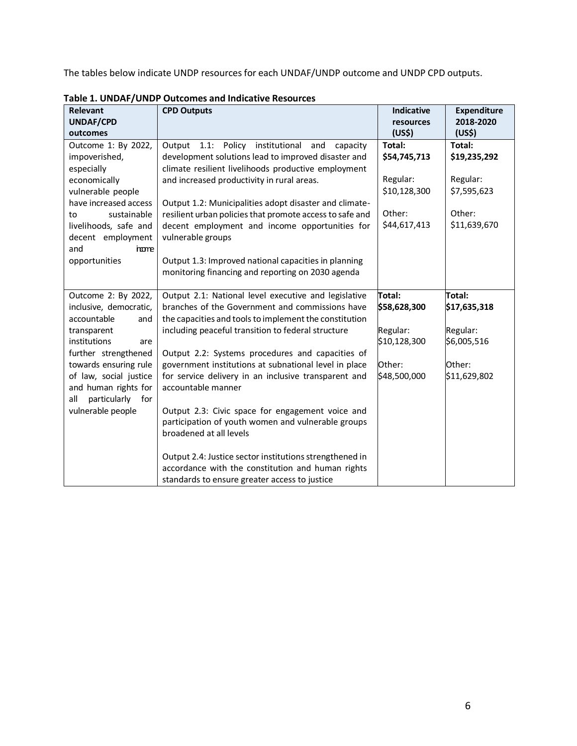The tables below indicate UNDP resources for each UNDAF/UNDP outcome and UNDP CPD outputs.

| <b>Relevant</b>                                                      | <b>CPD Outputs</b>                                                                                                                                                                                                                                                      | <b>Indicative</b>  | <b>Expenditure</b> |
|----------------------------------------------------------------------|-------------------------------------------------------------------------------------------------------------------------------------------------------------------------------------------------------------------------------------------------------------------------|--------------------|--------------------|
| <b>UNDAF/CPD</b>                                                     |                                                                                                                                                                                                                                                                         | resources          | 2018-2020          |
| outcomes                                                             |                                                                                                                                                                                                                                                                         | (US <sub>5</sub> ) | (US\$)             |
| Outcome 1: By 2022,                                                  | Output<br>institutional<br>1.1:<br>Policy<br>and<br>capacity                                                                                                                                                                                                            | Total:             | Total:             |
| impoverished,                                                        | development solutions lead to improved disaster and                                                                                                                                                                                                                     | \$54,745,713       | \$19,235,292       |
| especially                                                           | climate resilient livelihoods productive employment                                                                                                                                                                                                                     |                    |                    |
| economically                                                         | and increased productivity in rural areas.                                                                                                                                                                                                                              | Regular:           | Regular:           |
| vulnerable people                                                    |                                                                                                                                                                                                                                                                         | \$10,128,300       | \$7,595,623        |
| have increased access                                                | Output 1.2: Municipalities adopt disaster and climate-                                                                                                                                                                                                                  |                    |                    |
| sustainable<br>to                                                    | resilient urban policies that promote access to safe and                                                                                                                                                                                                                | Other:             | Other:             |
| livelihoods, safe and                                                | decent employment and income opportunities for                                                                                                                                                                                                                          | \$44,617,413       | \$11,639,670       |
| decent employment                                                    | vulnerable groups                                                                                                                                                                                                                                                       |                    |                    |
| and<br><b>nome</b>                                                   |                                                                                                                                                                                                                                                                         |                    |                    |
| opportunities                                                        | Output 1.3: Improved national capacities in planning                                                                                                                                                                                                                    |                    |                    |
|                                                                      | monitoring financing and reporting on 2030 agenda                                                                                                                                                                                                                       |                    |                    |
|                                                                      |                                                                                                                                                                                                                                                                         |                    |                    |
| Outcome 2: By 2022,                                                  | Output 2.1: National level executive and legislative                                                                                                                                                                                                                    | Total:             | Total:             |
| inclusive, democratic,                                               | branches of the Government and commissions have                                                                                                                                                                                                                         | \$58,628,300       | \$17,635,318       |
| accountable<br>and                                                   | the capacities and tools to implement the constitution                                                                                                                                                                                                                  |                    |                    |
| transparent                                                          | including peaceful transition to federal structure                                                                                                                                                                                                                      | Regular:           | Regular:           |
| institutions<br>are                                                  |                                                                                                                                                                                                                                                                         | \$10,128,300       | \$6,005,516        |
| further strengthened                                                 | Output 2.2: Systems procedures and capacities of                                                                                                                                                                                                                        |                    |                    |
| towards ensuring rule                                                | government institutions at subnational level in place                                                                                                                                                                                                                   | Other:             | Other:             |
| of law, social justice                                               | for service delivery in an inclusive transparent and                                                                                                                                                                                                                    | \$48,500,000       | \$11,629,802       |
|                                                                      |                                                                                                                                                                                                                                                                         |                    |                    |
|                                                                      |                                                                                                                                                                                                                                                                         |                    |                    |
|                                                                      |                                                                                                                                                                                                                                                                         |                    |                    |
|                                                                      |                                                                                                                                                                                                                                                                         |                    |                    |
|                                                                      |                                                                                                                                                                                                                                                                         |                    |                    |
|                                                                      |                                                                                                                                                                                                                                                                         |                    |                    |
|                                                                      |                                                                                                                                                                                                                                                                         |                    |                    |
|                                                                      | standards to ensure greater access to justice                                                                                                                                                                                                                           |                    |                    |
| and human rights for<br>particularly for<br>all<br>vulnerable people | accountable manner<br>Output 2.3: Civic space for engagement voice and<br>participation of youth women and vulnerable groups<br>broadened at all levels<br>Output 2.4: Justice sector institutions strengthened in<br>accordance with the constitution and human rights |                    |                    |

**Table 1. UNDAF/UNDP Outcomes and Indicative Resources**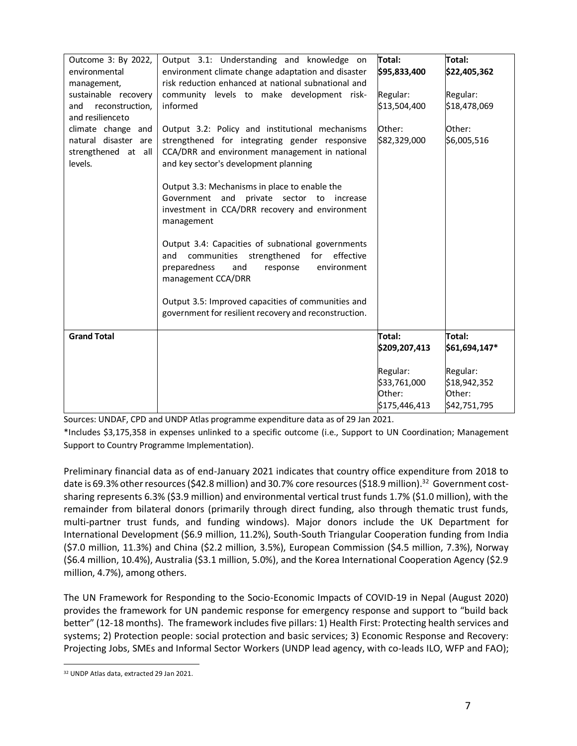| Outcome 3: By 2022,<br>environmental<br>management,<br>sustainable recovery<br>reconstruction,<br>and<br>and resilienceto<br>climate change and<br>natural disaster are<br>strengthened at all<br>levels. | Output 3.1: Understanding and knowledge on<br>environment climate change adaptation and disaster<br>risk reduction enhanced at national subnational and<br>community levels to make development risk-<br>informed<br>Output 3.2: Policy and institutional mechanisms<br>strengthened for integrating gender responsive<br>CCA/DRR and environment management in national<br>and key sector's development planning<br>Output 3.3: Mechanisms in place to enable the<br>Government and<br>private sector to<br>increase<br>investment in CCA/DRR recovery and environment<br>management<br>Output 3.4: Capacities of subnational governments<br>effective<br>communities<br>strengthened for<br>and<br>preparedness<br>and<br>response<br>environment<br>management CCA/DRR<br>Output 3.5: Improved capacities of communities and<br>government for resilient recovery and reconstruction. | Total:<br>\$95,833,400<br>Regular:<br>\$13,504,400<br>Other:<br>\$82,329,000 | Total:<br>\$22,405,362<br>Regular:<br>\$18,478,069<br>Other:<br>\$6,005,516 |
|-----------------------------------------------------------------------------------------------------------------------------------------------------------------------------------------------------------|------------------------------------------------------------------------------------------------------------------------------------------------------------------------------------------------------------------------------------------------------------------------------------------------------------------------------------------------------------------------------------------------------------------------------------------------------------------------------------------------------------------------------------------------------------------------------------------------------------------------------------------------------------------------------------------------------------------------------------------------------------------------------------------------------------------------------------------------------------------------------------------|------------------------------------------------------------------------------|-----------------------------------------------------------------------------|
|                                                                                                                                                                                                           |                                                                                                                                                                                                                                                                                                                                                                                                                                                                                                                                                                                                                                                                                                                                                                                                                                                                                          |                                                                              |                                                                             |
| <b>Grand Total</b>                                                                                                                                                                                        |                                                                                                                                                                                                                                                                                                                                                                                                                                                                                                                                                                                                                                                                                                                                                                                                                                                                                          | Total:<br>\$209,207,413                                                      | Total:<br>\$61,694,147*                                                     |
|                                                                                                                                                                                                           |                                                                                                                                                                                                                                                                                                                                                                                                                                                                                                                                                                                                                                                                                                                                                                                                                                                                                          | Regular:<br>\$33,761,000<br>Other:<br>\$175,446,413                          | Regular:<br>\$18,942,352<br>Other:<br>\$42,751,795                          |

Sources: UNDAF, CPD and UNDP Atlas programme expenditure data as of 29 Jan 2021.

\*Includes \$3,175,358 in expenses unlinked to a specific outcome (i.e., Support to UN Coordination; Management Support to Country Programme Implementation).

Preliminary financial data as of end-January 2021 indicates that country office expenditure from 2018 to date is 69.3% other resources (\$42.8 million) and 30.7% core resources (\$18.9 million).<sup>32</sup> Government costsharing represents 6.3% (\$3.9 million) and environmental vertical trust funds 1.7% (\$1.0 million), with the remainder from bilateral donors (primarily through direct funding, also through thematic trust funds, multi-partner trust funds, and funding windows). Major donors include the UK Department for International Development (\$6.9 million, 11.2%), South-South Triangular Cooperation funding from India (\$7.0 million, 11.3%) and China (\$2.2 million, 3.5%), European Commission (\$4.5 million, 7.3%), Norway (\$6.4 million, 10.4%), Australia (\$3.1 million, 5.0%), and the Korea International Cooperation Agency (\$2.9 million, 4.7%), among others.

The UN Framework for Responding to the Socio-Economic Impacts of COVID-19 in Nepal (August 2020) provides the framework for UN pandemic response for emergency response and support to "build back better" (12-18 months). The framework includes five pillars: 1) Health First: Protecting health services and systems; 2) Protection people: social protection and basic services; 3) Economic Response and Recovery: Projecting Jobs, SMEs and Informal Sector Workers (UNDP lead agency, with co-leads ILO, WFP and FAO);

<sup>32</sup> UNDP Atlas data, extracted 29 Jan 2021.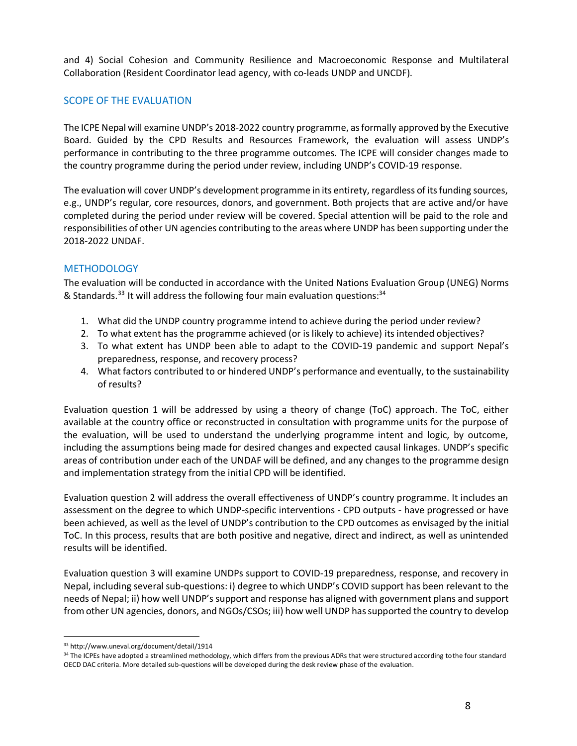and 4) Social Cohesion and Community Resilience and Macroeconomic Response and Multilateral Collaboration (Resident Coordinator lead agency, with co-leads UNDP and UNCDF).

## SCOPE OF THE EVALUATION

The ICPE Nepal will examine UNDP's 2018-2022 country programme, asformally approved by the Executive Board. Guided by the CPD Results and Resources Framework, the evaluation will assess UNDP's performance in contributing to the three programme outcomes. The ICPE will consider changes made to the country programme during the period under review, including UNDP's COVID-19 response.

The evaluation will cover UNDP's development programme in its entirety, regardless of its funding sources, e.g., UNDP's regular, core resources, donors, and government. Both projects that are active and/or have completed during the period under review will be covered. Special attention will be paid to the role and responsibilities of other UN agencies contributing to the areas where UNDP has been supporting under the 2018-2022 UNDAF.

## **METHODOLOGY**

The evaluation will be conducted in accordance with the United Nations Evaluation Group (UNEG) Norms & Standards.<sup>33</sup> It will address the following four main evaluation questions:<sup>34</sup>

- 1. What did the UNDP country programme intend to achieve during the period under review?
- 2. To what extent has the programme achieved (or is likely to achieve) its intended objectives?
- 3. To what extent has UNDP been able to adapt to the COVID-19 pandemic and support Nepal's preparedness, response, and recovery process?
- 4. What factors contributed to or hindered UNDP's performance and eventually, to the sustainability of results?

Evaluation question 1 will be addressed by using a theory of change (ToC) approach. The ToC, either available at the country office or reconstructed in consultation with programme units for the purpose of the evaluation, will be used to understand the underlying programme intent and logic, by outcome, including the assumptions being made for desired changes and expected causal linkages. UNDP's specific areas of contribution under each of the UNDAF will be defined, and any changes to the programme design and implementation strategy from the initial CPD will be identified.

Evaluation question 2 will address the overall effectiveness of UNDP's country programme. It includes an assessment on the degree to which UNDP-specific interventions - CPD outputs - have progressed or have been achieved, as well as the level of UNDP's contribution to the CPD outcomes as envisaged by the initial ToC. In this process, results that are both positive and negative, direct and indirect, as well as unintended results will be identified.

Evaluation question 3 will examine UNDPs support to COVID-19 preparedness, response, and recovery in Nepal, including several sub-questions: i) degree to which UNDP's COVID support has been relevant to the needs of Nepal; ii) how well UNDP's support and response has aligned with government plans and support fromother UN agencies, donors, and NGOs/CSOs; iii) how well UNDP hassupported the country to develop

<sup>33</sup> [http://www.uneval.org/document/detail/1914](http://www.uneval.org/document/detail/21)

<sup>34</sup> The ICPEs have adopted a streamlined methodology, which differs from the previous ADRs that were structured according to the four standard OECD DAC criteria. More detailed sub-questions will be developed during the desk review phase of the evaluation.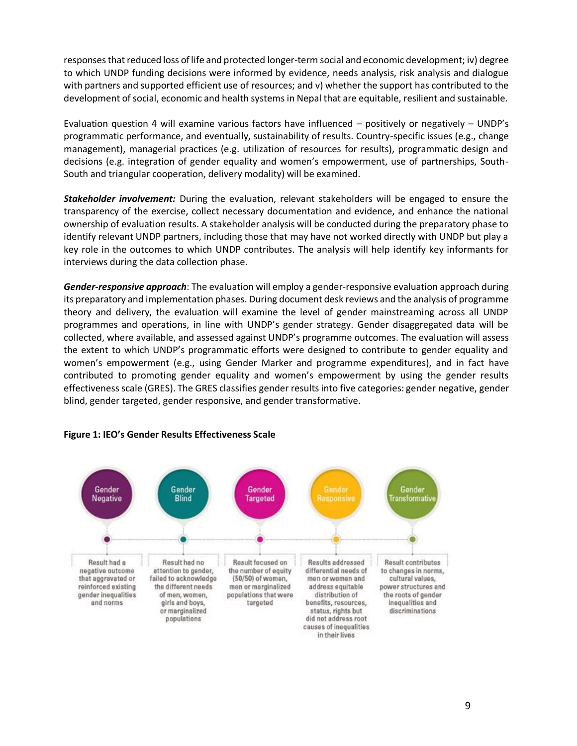responses that reduced loss of life and protected longer-term social and economic development; iv) degree to which UNDP funding decisions were informed by evidence, needs analysis, risk analysis and dialogue with partners and supported efficient use of resources; and v) whether the support has contributed to the development of social, economic and health systems in Nepal that are equitable, resilient and sustainable.

Evaluation question 4 will examine various factors have influenced – positively or negatively – UNDP's programmatic performance, and eventually, sustainability of results. Country-specific issues (e.g., change management), managerial practices (e.g. utilization of resources for results), programmatic design and decisions (e.g. integration of gender equality and women's empowerment, use of partnerships, South-South and triangular cooperation, delivery modality) will be examined.

*Stakeholder involvement:* During the evaluation, relevant stakeholders will be engaged to ensure the transparency of the exercise, collect necessary documentation and evidence, and enhance the national ownership of evaluation results. A stakeholder analysis will be conducted during the preparatory phase to identify relevant UNDP partners, including those that may have not worked directly with UNDP but play a key role in the outcomes to which UNDP contributes. The analysis will help identify key informants for interviews during the data collection phase.

*Gender-responsive approach*: The evaluation will employ a gender-responsive evaluation approach during its preparatory and implementation phases. During document desk reviews and the analysis of programme theory and delivery, the evaluation will examine the level of gender mainstreaming across all UNDP programmes and operations, in line with UNDP's gender strategy. Gender disaggregated data will be collected, where available, and assessed against UNDP's programme outcomes. The evaluation will assess the extent to which UNDP's programmatic efforts were designed to contribute to gender equality and women's empowerment (e.g., using Gender Marker and programme expenditures), and in fact have contributed to promoting gender equality and women's empowerment by using the gender results effectiveness scale (GRES). The GRES classifies gender results into five categories: gender negative, gender blind, gender targeted, gender responsive, and gender transformative.



#### **Figure 1: IEO's Gender Results Effectiveness Scale**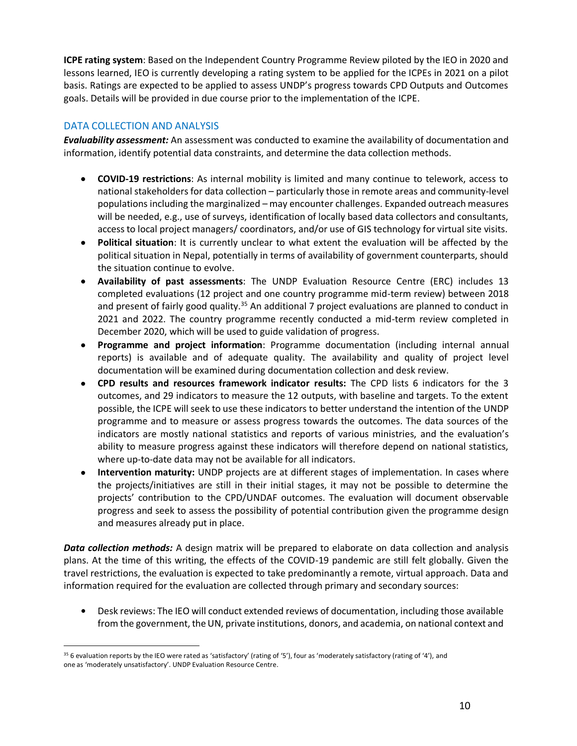**ICPE rating system**: Based on the Independent Country Programme Review piloted by the IEO in 2020 and lessons learned, IEO is currently developing a rating system to be applied for the ICPEs in 2021 on a pilot basis. Ratings are expected to be applied to assess UNDP's progress towards CPD Outputs and Outcomes goals. Details will be provided in due course prior to the implementation of the ICPE.

## DATA COLLECTION AND ANALYSIS

*Evaluability assessment:* An assessment was conducted to examine the availability of documentation and information, identify potential data constraints, and determine the data collection methods.

- **COVID-19 restrictions**: As internal mobility is limited and many continue to telework, access to national stakeholders for data collection – particularly those in remote areas and community-level populations including the marginalized – may encounter challenges. Expanded outreach measures will be needed, e.g., use of surveys, identification of locally based data collectors and consultants, access to local project managers/ coordinators, and/or use of GIS technology for virtual site visits.
- **Political situation**: It is currently unclear to what extent the evaluation will be affected by the political situation in Nepal, potentially in terms of availability of government counterparts, should the situation continue to evolve.
- **Availability of past assessments**: The UNDP Evaluation Resource Centre (ERC) includes 13 completed evaluations (12 project and one country programme mid-term review) between 2018 and present of fairly good quality.<sup>35</sup> An additional 7 project evaluations are planned to conduct in 2021 and 2022. The country programme recently conducted a mid-term review completed in December 2020, which will be used to guide validation of progress.
- **Programme and project information**: Programme documentation (including internal annual reports) is available and of adequate quality. The availability and quality of project level documentation will be examined during documentation collection and desk review.
- **CPD results and resources framework indicator results:** The CPD lists 6 indicators for the 3 outcomes, and 29 indicators to measure the 12 outputs, with baseline and targets. To the extent possible, the ICPE will seek to use these indicators to better understand the intention of the UNDP programme and to measure or assess progress towards the outcomes. The data sources of the indicators are mostly national statistics and reports of various ministries, and the evaluation's ability to measure progress against these indicators will therefore depend on national statistics, where up-to-date data may not be available for all indicators.
- **Intervention maturity:** UNDP projects are at different stages of implementation. In cases where the projects/initiatives are still in their initial stages, it may not be possible to determine the projects' contribution to the CPD/UNDAF outcomes. The evaluation will document observable progress and seek to assess the possibility of potential contribution given the programme design and measures already put in place.

*Data collection methods:* A design matrix will be prepared to elaborate on data collection and analysis plans. At the time of this writing, the effects of the COVID-19 pandemic are still felt globally. Given the travel restrictions, the evaluation is expected to take predominantly a remote, virtual approach. Data and information required for the evaluation are collected through primary and secondary sources:

**•** Desk reviews: The IEO will conduct extended reviews of documentation, including those available from the government, the UN, private institutions, donors, and academia, on national context and

<sup>35</sup> 6 evaluation reports by the IEO were rated as 'satisfactory' (rating of '5'), four as 'moderately satisfactory (rating of '4'), and one as 'moderately unsatisfactory'. UNDP Evaluation Resource Centre.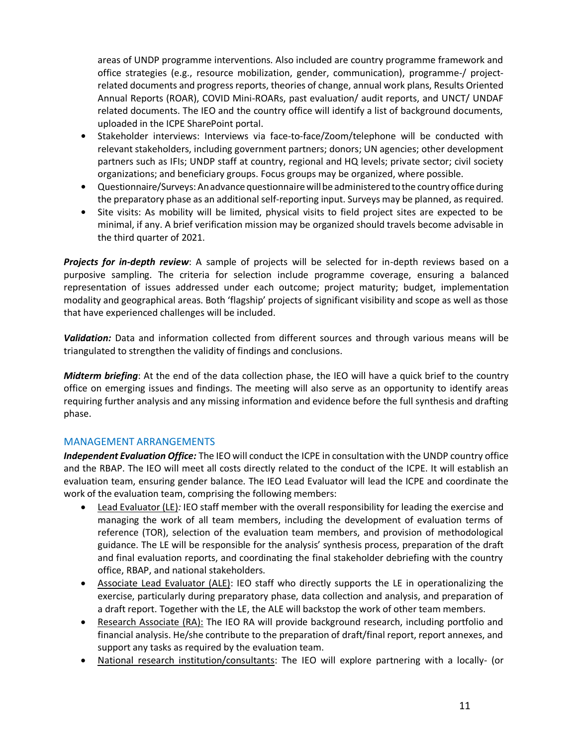areas of UNDP programme interventions. Also included are country programme framework and office strategies (e.g., resource mobilization, gender, communication), programme-/ projectrelated documents and progress reports, theories of change, annual work plans, Results Oriented Annual Reports (ROAR), COVID Mini-ROARs, past evaluation/ audit reports, and UNCT/ UNDAF related documents. The IEO and the country office will identify a list of background documents, uploaded in the ICPE SharePoint portal.

- **•** Stakeholder interviews: Interviews via face-to-face/Zoom/telephone will be conducted with relevant stakeholders, including government partners; donors; UN agencies; other development partners such as IFIs; UNDP staff at country, regional and HQ levels; private sector; civil society organizations; and beneficiary groups. Focus groups may be organized, where possible.
- **•** Questionnaire/Surveys:Anadvance questionnairewillbe administered tothe country office during the preparatory phase as an additional self-reporting input. Surveys may be planned, as required.
- **•** Site visits: As mobility will be limited, physical visits to field project sites are expected to be minimal, if any. A brief verification mission may be organized should travels become advisable in the third quarter of 2021.

*Projects for in-depth review*: A sample of projects will be selected for in-depth reviews based on a purposive sampling. The criteria for selection include programme coverage, ensuring a balanced representation of issues addressed under each outcome; project maturity; budget, implementation modality and geographical areas. Both 'flagship' projects of significant visibility and scope as well as those that have experienced challenges will be included.

*Validation:* Data and information collected from different sources and through various means will be triangulated to strengthen the validity of findings and conclusions.

*Midterm briefing*: At the end of the data collection phase, the IEO will have a quick brief to the country office on emerging issues and findings. The meeting will also serve as an opportunity to identify areas requiring further analysis and any missing information and evidence before the full synthesis and drafting phase.

#### MANAGEMENT ARRANGEMENTS

*Independent Evaluation Office:* The IEO will conduct the ICPE in consultation with the UNDP country office and the RBAP. The IEO will meet all costs directly related to the conduct of the ICPE. It will establish an evaluation team, ensuring gender balance. The IEO Lead Evaluator will lead the ICPE and coordinate the work of the evaluation team, comprising the following members:

- Lead Evaluator (LE)*:* IEO staff member with the overall responsibility for leading the exercise and managing the work of all team members, including the development of evaluation terms of reference (TOR), selection of the evaluation team members, and provision of methodological guidance. The LE will be responsible for the analysis' synthesis process, preparation of the draft and final evaluation reports, and coordinating the final stakeholder debriefing with the country office, RBAP, and national stakeholders.
- Associate Lead Evaluator (ALE): IEO staff who directly supports the LE in operationalizing the exercise, particularly during preparatory phase, data collection and analysis, and preparation of a draft report. Together with the LE, the ALE will backstop the work of other team members.
- Research Associate (RA): The IEO RA will provide background research, including portfolio and financial analysis. He/she contribute to the preparation of draft/final report, report annexes, and support any tasks as required by the evaluation team.
- National research institution/consultants: The IEO will explore partnering with a locally- (or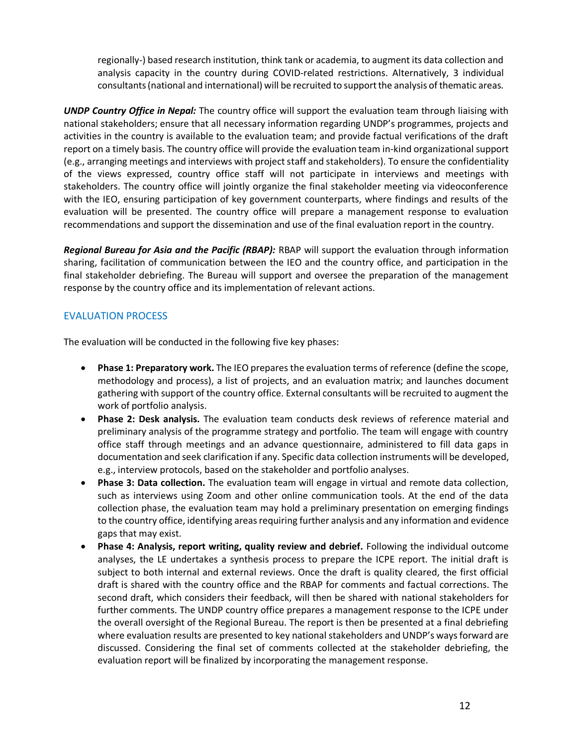regionally-) based research institution, think tank or academia, to augment its data collection and analysis capacity in the country during COVID-related restrictions. Alternatively, 3 individual consultants(national and international) will be recruited to supportthe analysis of thematic areas.

*UNDP Country Office in Nepal:* The country office will support the evaluation team through liaising with national stakeholders; ensure that all necessary information regarding UNDP's programmes, projects and activities in the country is available to the evaluation team; and provide factual verifications of the draft report on a timely basis. The country office will provide the evaluation team in-kind organizational support (e.g., arranging meetings and interviews with project staff and stakeholders). To ensure the confidentiality of the views expressed, country office staff will not participate in interviews and meetings with stakeholders. The country office will jointly organize the final stakeholder meeting via videoconference with the IEO, ensuring participation of key government counterparts, where findings and results of the evaluation will be presented. The country office will prepare a management response to evaluation recommendations and support the dissemination and use of the final evaluation report in the country.

*Regional Bureau for Asia and the Pacific (RBAP):* RBAP will support the evaluation through information sharing, facilitation of communication between the IEO and the country office, and participation in the final stakeholder debriefing. The Bureau will support and oversee the preparation of the management response by the country office and its implementation of relevant actions.

## EVALUATION PROCESS

The evaluation will be conducted in the following five key phases:

- **Phase 1: Preparatory work.** The IEO prepares the evaluation terms of reference (define the scope, methodology and process), a list of projects, and an evaluation matrix; and launches document gathering with support of the country office. External consultants will be recruited to augment the work of portfolio analysis.
- **Phase 2: Desk analysis.** The evaluation team conducts desk reviews of reference material and preliminary analysis of the programme strategy and portfolio. The team will engage with country office staff through meetings and an advance questionnaire, administered to fill data gaps in documentation and seek clarification if any. Specific data collection instruments will be developed, e.g., interview protocols, based on the stakeholder and portfolio analyses.
- **Phase 3: Data collection.** The evaluation team will engage in virtual and remote data collection, such as interviews using Zoom and other online communication tools. At the end of the data collection phase, the evaluation team may hold a preliminary presentation on emerging findings to the country office, identifying areas requiring further analysis and any information and evidence gaps that may exist.
- **Phase 4: Analysis, report writing, quality review and debrief.** Following the individual outcome analyses, the LE undertakes a synthesis process to prepare the ICPE report. The initial draft is subject to both internal and external reviews. Once the draft is quality cleared, the first official draft is shared with the country office and the RBAP for comments and factual corrections. The second draft, which considers their feedback, will then be shared with national stakeholders for further comments. The UNDP country office prepares a management response to the ICPE under the overall oversight of the Regional Bureau. The report is then be presented at a final debriefing where evaluation results are presented to key national stakeholders and UNDP's waysforward are discussed. Considering the final set of comments collected at the stakeholder debriefing, the evaluation report will be finalized by incorporating the management response.